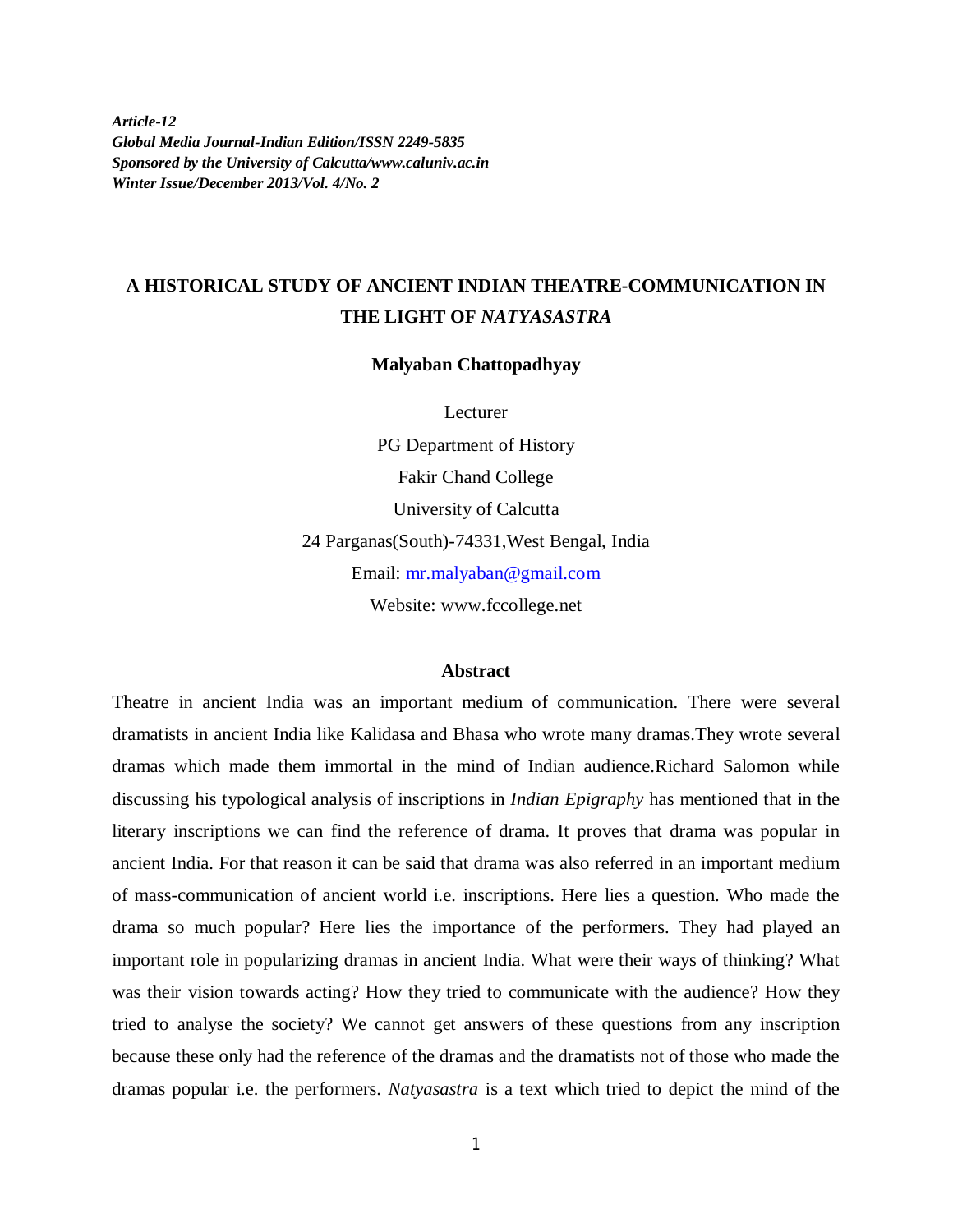*Article-12 Global Media Journal-Indian Edition/ISSN 2249-5835 Sponsored by the University of Calcutta/www.caluniv.ac.in Winter Issue/December 2013/Vol. 4/No. 2*

# **A HISTORICAL STUDY OF ANCIENT INDIAN THEATRE-COMMUNICATION IN THE LIGHT OF** *NATYASASTRA*

**Malyaban Chattopadhyay**

Lecturer

PG Department of History Fakir Chand College University of Calcutta 24 Parganas(South)-74331,West Bengal, India Email: mr.malyaban@gmail.com Website: www.fccollege.net

#### **Abstract**

Theatre in ancient India was an important medium of communication. There were several dramatists in ancient India like Kalidasa and Bhasa who wrote many dramas.They wrote several dramas which made them immortal in the mind of Indian audience.Richard Salomon while discussing his typological analysis of inscriptions in *Indian Epigraphy* has mentioned that in the literary inscriptions we can find the reference of drama. It proves that drama was popular in ancient India. For that reason it can be said that drama was also referred in an important medium of mass-communication of ancient world i.e. inscriptions. Here lies a question. Who made the drama so much popular? Here lies the importance of the performers. They had played an important role in popularizing dramas in ancient India. What were their ways of thinking? What was their vision towards acting? How they tried to communicate with the audience? How they tried to analyse the society? We cannot get answers of these questions from any inscription because these only had the reference of the dramas and the dramatists not of those who made the dramas popular i.e. the performers. *Natyasastra* is a text which tried to depict the mind of the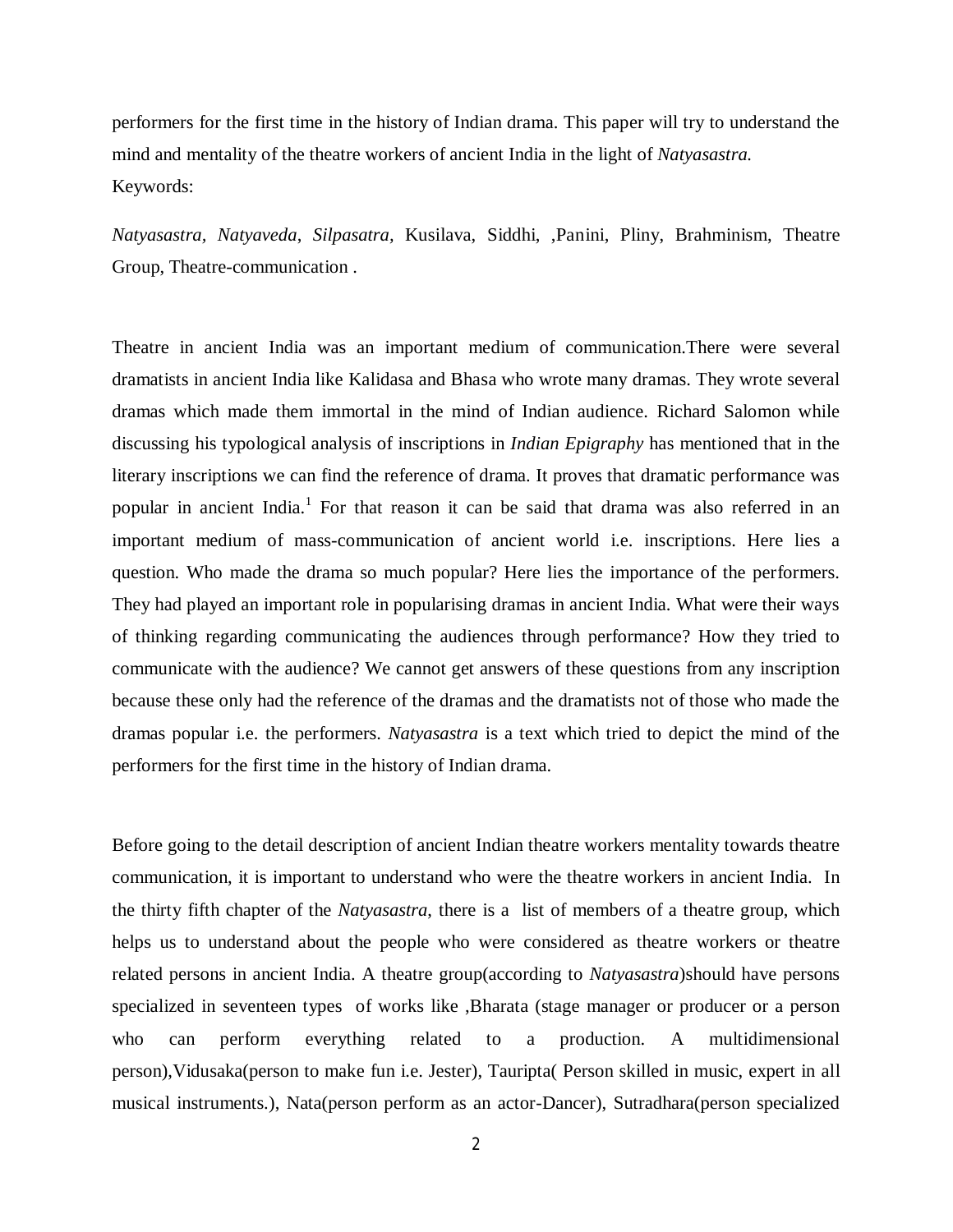performers for the first time in the history of Indian drama. This paper will try to understand the mind and mentality of the theatre workers of ancient India in the light of *Natyasastra.* Keywords:

*Natyasastra, Natyaveda*, *Silpasatra,* Kusilava, Siddhi, ,Panini, Pliny, Brahminism, Theatre Group, Theatre-communication .

Theatre in ancient India was an important medium of communication.There were several dramatists in ancient India like Kalidasa and Bhasa who wrote many dramas. They wrote several dramas which made them immortal in the mind of Indian audience. Richard Salomon while discussing his typological analysis of inscriptions in *Indian Epigraphy* has mentioned that in the literary inscriptions we can find the reference of drama. It proves that dramatic performance was popular in ancient India.<sup>1</sup> For that reason it can be said that drama was also referred in an important medium of mass-communication of ancient world i.e. inscriptions. Here lies a question. Who made the drama so much popular? Here lies the importance of the performers. They had played an important role in popularising dramas in ancient India. What were their ways of thinking regarding communicating the audiences through performance? How they tried to communicate with the audience? We cannot get answers of these questions from any inscription because these only had the reference of the dramas and the dramatists not of those who made the dramas popular i.e. the performers. *Natyasastra* is a text which tried to depict the mind of the performers for the first time in the history of Indian drama.

Before going to the detail description of ancient Indian theatre workers mentality towards theatre communication, it is important to understand who were the theatre workers in ancient India. In the thirty fifth chapter of the *Natyasastra*, there is a list of members of a theatre group, which helps us to understand about the people who were considered as theatre workers or theatre related persons in ancient India. A theatre group(according to *Natyasastra*)should have persons specialized in seventeen types of works like ,Bharata (stage manager or producer or a person who can perform everything related to a production. A multidimensional person),Vidusaka(person to make fun i.e. Jester), Tauripta( Person skilled in music, expert in all musical instruments.), Nata(person perform as an actor-Dancer), Sutradhara(person specialized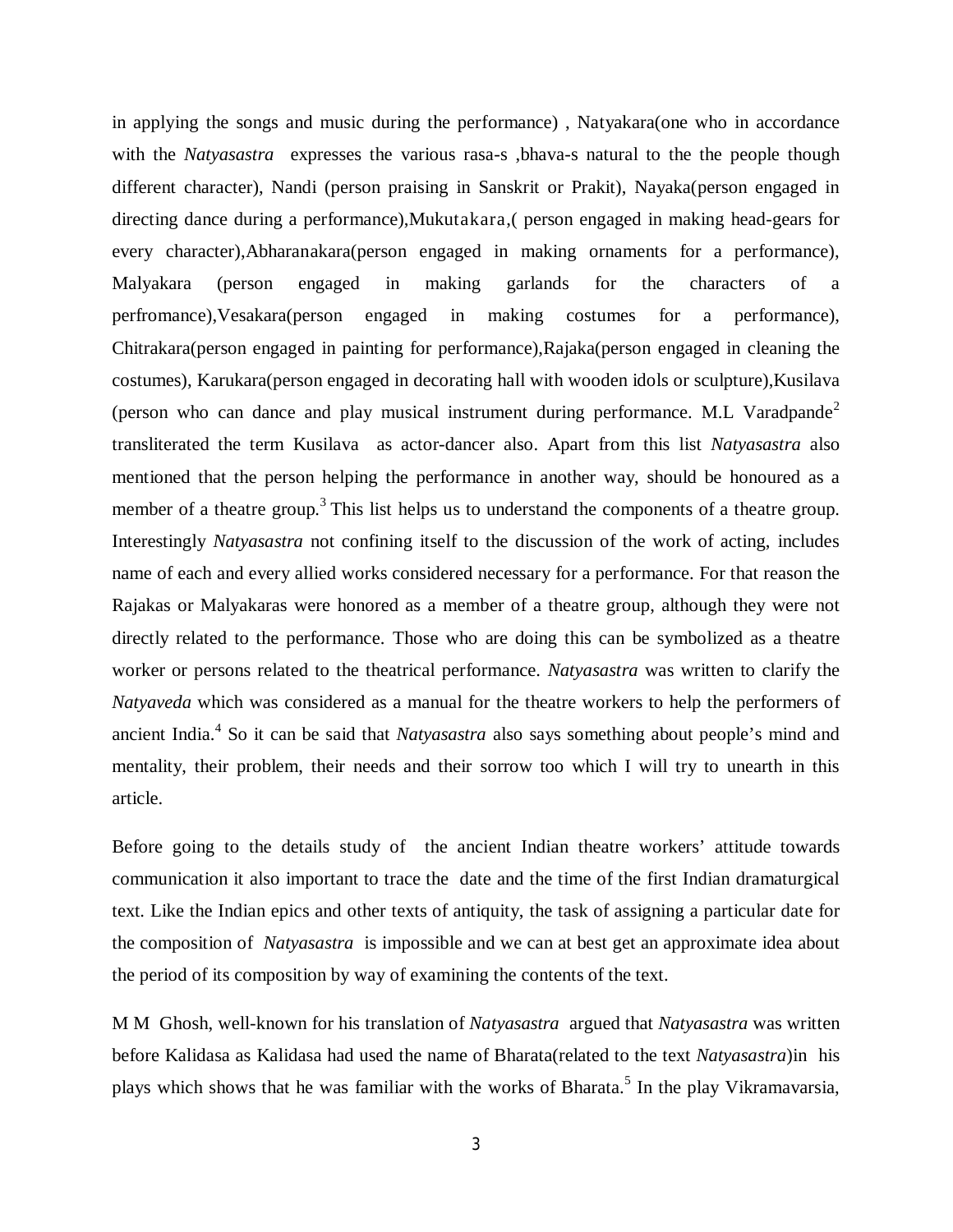in applying the songs and music during the performance) , Natyakara(one who in accordance with the *Natyasastra* expresses the various rasa-s , bhava-s natural to the the people though different character), Nandi (person praising in Sanskrit or Prakit), Nayaka(person engaged in directing dance during a performance),Mukutakara,( person engaged in making head-gears for every character),Abharanakara(person engaged in making ornaments for a performance), Malyakara (person engaged in making garlands for the characters of a perfromance),Vesakara(person engaged in making costumes for a performance), Chitrakara(person engaged in painting for performance),Rajaka(person engaged in cleaning the costumes), Karukara(person engaged in decorating hall with wooden idols or sculpture),Kusilava (person who can dance and play musical instrument during performance. M.L. Varadpande<sup>2</sup> transliterated the term Kusilava as actor-dancer also. Apart from this list *Natyasastra* also mentioned that the person helping the performance in another way, should be honoured as a member of a theatre group.<sup>3</sup> This list helps us to understand the components of a theatre group. Interestingly *Natyasastra* not confining itself to the discussion of the work of acting, includes name of each and every allied works considered necessary for a performance. For that reason the Rajakas or Malyakaras were honored as a member of a theatre group, although they were not directly related to the performance. Those who are doing this can be symbolized as a theatre worker or persons related to the theatrical performance. *Natyasastra* was written to clarify the *Natyaveda* which was considered as a manual for the theatre workers to help the performers of ancient India.<sup>4</sup> So it can be said that *Natyasastra* also says something about people's mind and mentality, their problem, their needs and their sorrow too which I will try to unearth in this article.

Before going to the details study of the ancient Indian theatre workers' attitude towards communication it also important to trace the date and the time of the first Indian dramaturgical text. Like the Indian epics and other texts of antiquity, the task of assigning a particular date for the composition of *Natyasastra* is impossible and we can at best get an approximate idea about the period of its composition by way of examining the contents of the text.

M M Ghosh, well-known for his translation of *Natyasastra* argued that *Natyasastra* was written before Kalidasa as Kalidasa had used the name of Bharata(related to the text *Natyasastra*)in his plays which shows that he was familiar with the works of Bharata.<sup>5</sup> In the play Vikramavarsia,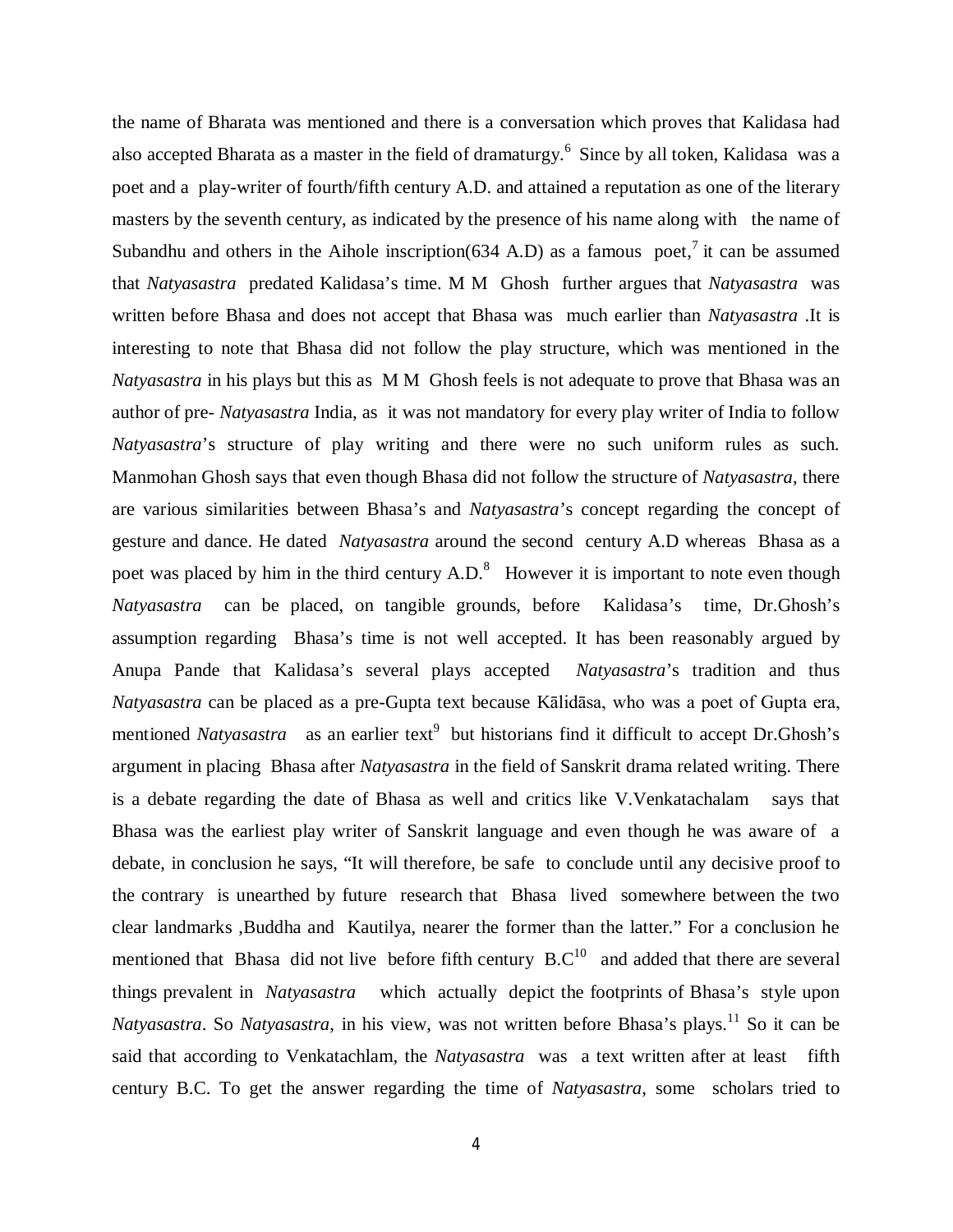the name of Bharata was mentioned and there is a conversation which proves that Kalidasa had also accepted Bharata as a master in the field of dramaturgy.<sup>6</sup> Since by all token, Kalidasa was a poet and a play-writer of fourth/fifth century A.D. and attained a reputation as one of the literary masters by the seventh century, as indicated by the presence of his name along with the name of Subandhu and others in the Aihole inscription(634 A.D) as a famous poet,<sup>7</sup> it can be assumed that *Natyasastra* predated Kalidasa's time. M M Ghosh further argues that *Natyasastra* was written before Bhasa and does not accept that Bhasa was much earlier than *Natyasastra* .It is interesting to note that Bhasa did not follow the play structure, which was mentioned in the *Natyasastra* in his plays but this as M M Ghosh feels is not adequate to prove that Bhasa was an author of pre- *Natyasastra* India, as it was not mandatory for every play writer of India to follow *Natyasastra*'s structure of play writing and there were no such uniform rules as such. Manmohan Ghosh says that even though Bhasa did not follow the structure of *Natyasastra*, there are various similarities between Bhasa's and *Natyasastra*'s concept regarding the concept of gesture and dance. He dated *Natyasastra* around the second century A.D whereas Bhasa as a poet was placed by him in the third century  $A.D.^8$  However it is important to note even though *Natyasastra* can be placed, on tangible grounds, before Kalidasa's time, Dr.Ghosh's assumption regarding Bhasa's time is not well accepted. It has been reasonably argued by Anupa Pande that Kalidasa's several plays accepted *Natyasastra*'s tradition and thus *Natyasastra* can be placed as a pre-Gupta text because Kālidāsa, who was a poet of Gupta era, mentioned *Natyasastra* as an earlier text<sup>9</sup> but historians find it difficult to accept Dr.Ghosh's argument in placing Bhasa after *Natyasastra* in the field of Sanskrit drama related writing. There is a debate regarding the date of Bhasa as well and critics like V.Venkatachalam says that Bhasa was the earliest play writer of Sanskrit language and even though he was aware of a debate, in conclusion he says, "It will therefore, be safe to conclude until any decisive proof to the contrary is unearthed by future research that Bhasa lived somewhere between the two clear landmarks ,Buddha and Kautilya, nearer the former than the latter." For a conclusion he mentioned that Bhasa did not live before fifth century  $B.C^{10}$  and added that there are several things prevalent in *Natyasastra* which actually depict the footprints of Bhasa's style upon *Natyasastra*. So *Natyasastra*, in his view, was not written before Bhasa's plays.<sup>11</sup> So it can be said that according to Venkatachlam, the *Natyasastra* was a text written after at least fifth century B.C. To get the answer regarding the time of *Natyasastra*, some scholars tried to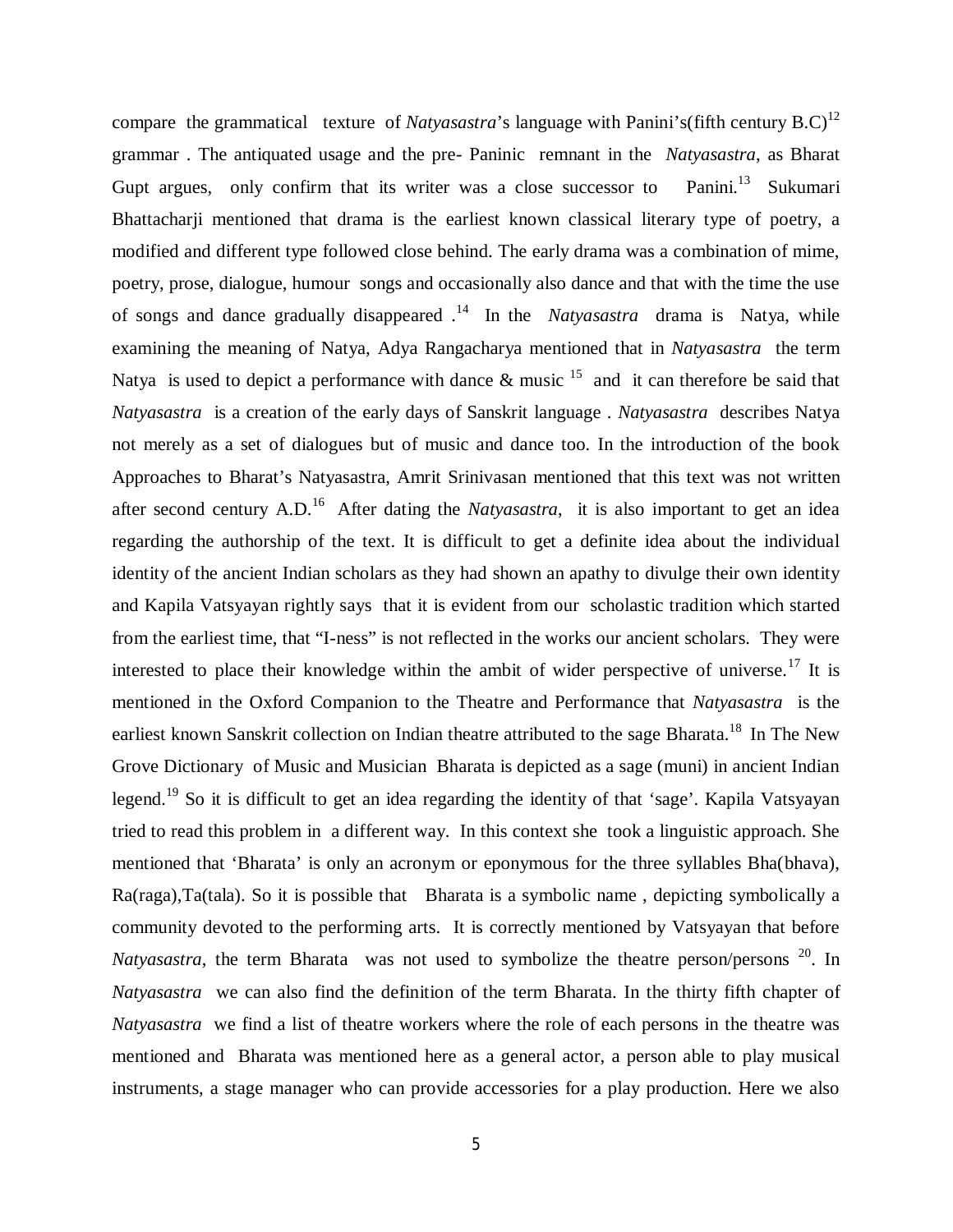compare the grammatical texture of *Natyasastra*'s language with Panini's(fifth century  $B.C$ )<sup>12</sup> grammar . The antiquated usage and the pre- Paninic remnant in the *Natyasastra*, as Bharat Gupt argues, only confirm that its writer was a close successor to Panini.<sup>13</sup> Sukumari Bhattacharji mentioned that drama is the earliest known classical literary type of poetry, a modified and different type followed close behind. The early drama was a combination of mime, poetry, prose, dialogue, humour songs and occasionally also dance and that with the time the use of songs and dance gradually disappeared .<sup>14</sup> In the *Natyasastra* drama is Natya, while examining the meaning of Natya, Adya Rangacharya mentioned that in *Natyasastra* the term Natya is used to depict a performance with dance  $\&$  music  $^{15}$  and it can therefore be said that *Natyasastra* is a creation of the early days of Sanskrit language . *Natyasastra* describes Natya not merely as a set of dialogues but of music and dance too. In the introduction of the book Approaches to Bharat's Natyasastra, Amrit Srinivasan mentioned that this text was not written after second century A.D.<sup>16</sup> After dating the *Natyasastra*, it is also important to get an idea regarding the authorship of the text. It is difficult to get a definite idea about the individual identity of the ancient Indian scholars as they had shown an apathy to divulge their own identity and Kapila Vatsyayan rightly says that it is evident from our scholastic tradition which started from the earliest time, that "I-ness" is not reflected in the works our ancient scholars. They were interested to place their knowledge within the ambit of wider perspective of universe.<sup>17</sup> It is mentioned in the Oxford Companion to the Theatre and Performance that *Natyasastra* is the earliest known Sanskrit collection on Indian theatre attributed to the sage Bharata.<sup>18</sup> In The New Grove Dictionary of Music and Musician Bharata is depicted as a sage (muni) in ancient Indian legend.<sup>19</sup> So it is difficult to get an idea regarding the identity of that 'sage'. Kapila Vatsyayan tried to read this problem in a different way. In this context she took a linguistic approach. She mentioned that 'Bharata' is only an acronym or eponymous for the three syllables Bha(bhava), Ra(raga),Ta(tala). So it is possible that Bharata is a symbolic name , depicting symbolically a community devoted to the performing arts. It is correctly mentioned by Vatsyayan that before *Natyasastra*, the term Bharata was not used to symbolize the theatre person/persons <sup>20</sup>. In *Natyasastra* we can also find the definition of the term Bharata. In the thirty fifth chapter of *Natyasastra* we find a list of theatre workers where the role of each persons in the theatre was mentioned and Bharata was mentioned here as a general actor, a person able to play musical instruments, a stage manager who can provide accessories for a play production. Here we also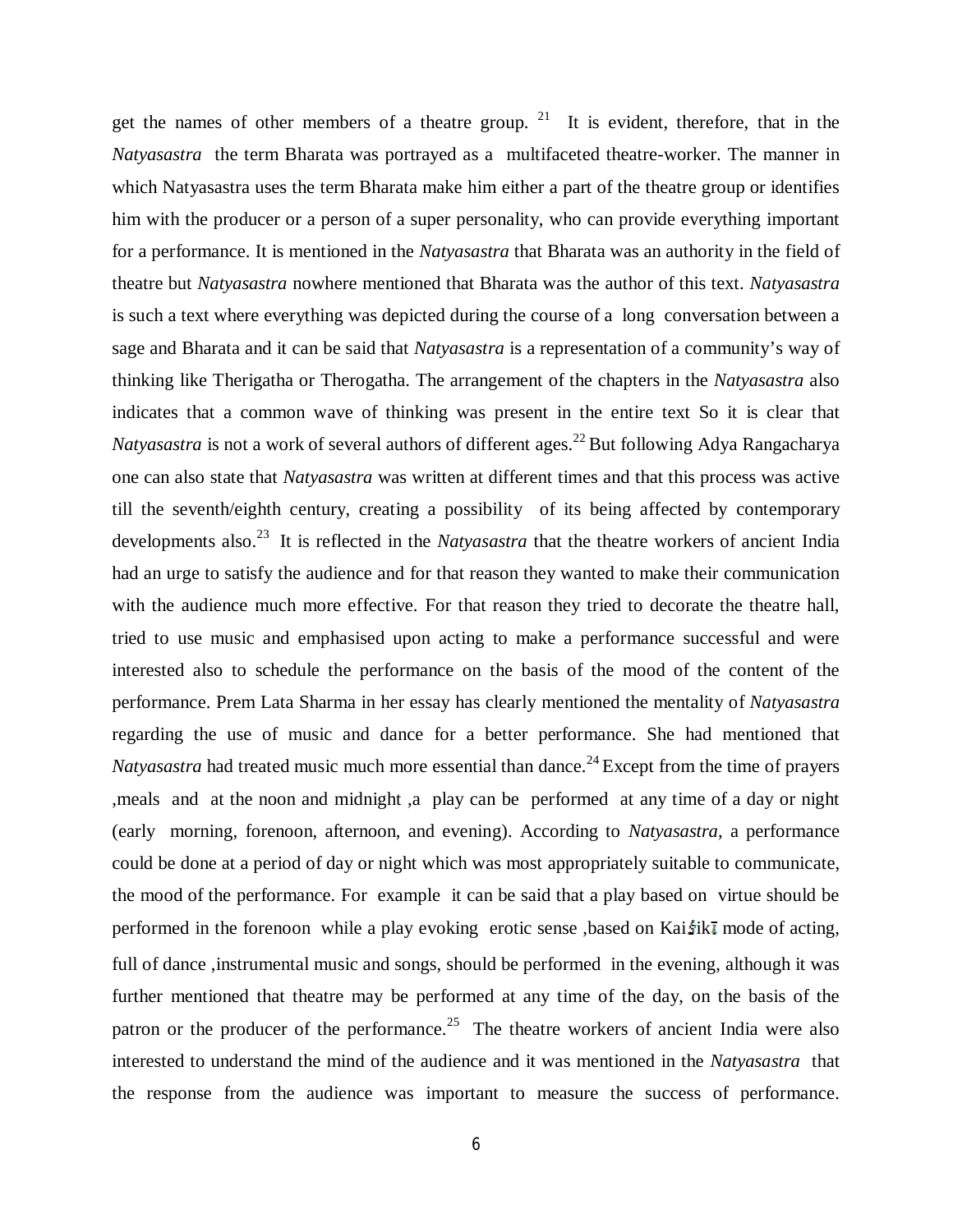get the names of other members of a theatre group.  $21$  It is evident, therefore, that in the *Natyasastra* the term Bharata was portrayed as a multifaceted theatre-worker. The manner in which Natyasastra uses the term Bharata make him either a part of the theatre group or identifies him with the producer or a person of a super personality, who can provide everything important for a performance. It is mentioned in the *Natyasastra* that Bharata was an authority in the field of theatre but *Natyasastra* nowhere mentioned that Bharata was the author of this text. *Natyasastra* is such a text where everything was depicted during the course of a long conversation between a sage and Bharata and it can be said that *Natyasastra* is a representation of a community's way of thinking like Therigatha or Therogatha. The arrangement of the chapters in the *Natyasastra* also indicates that a common wave of thinking was present in the entire text So it is clear that *Natyasastra* is not a work of several authors of different ages.<sup>22</sup> But following Adya Rangacharya one can also state that *Natyasastra* was written at different times and that this process was active till the seventh/eighth century, creating a possibility of its being affected by contemporary developments also.<sup>23</sup> It is reflected in the *Natyasastra* that the theatre workers of ancient India had an urge to satisfy the audience and for that reason they wanted to make their communication with the audience much more effective. For that reason they tried to decorate the theatre hall, tried to use music and emphasised upon acting to make a performance successful and were interested also to schedule the performance on the basis of the mood of the content of the performance. Prem Lata Sharma in her essay has clearly mentioned the mentality of *Natyasastra* regarding the use of music and dance for a better performance. She had mentioned that *Natyasastra* had treated music much more essential than dance.<sup>24</sup> Except from the time of prayers ,meals and at the noon and midnight ,a play can be performed at any time of a day or night (early morning, forenoon, afternoon, and evening). According to *Natyasastra*, a performance could be done at a period of day or night which was most appropriately suitable to communicate, the mood of the performance. For example it can be said that a play based on virtue should be performed in the forenoon while a play evoking erotic sense, based on Kai $\frac{f}{g}$  mode of acting, full of dance, instrumental music and songs, should be performed in the evening, although it was further mentioned that theatre may be performed at any time of the day, on the basis of the patron or the producer of the performance.<sup>25</sup> The theatre workers of ancient India were also interested to understand the mind of the audience and it was mentioned in the *Natyasastra* that the response from the audience was important to measure the success of performance.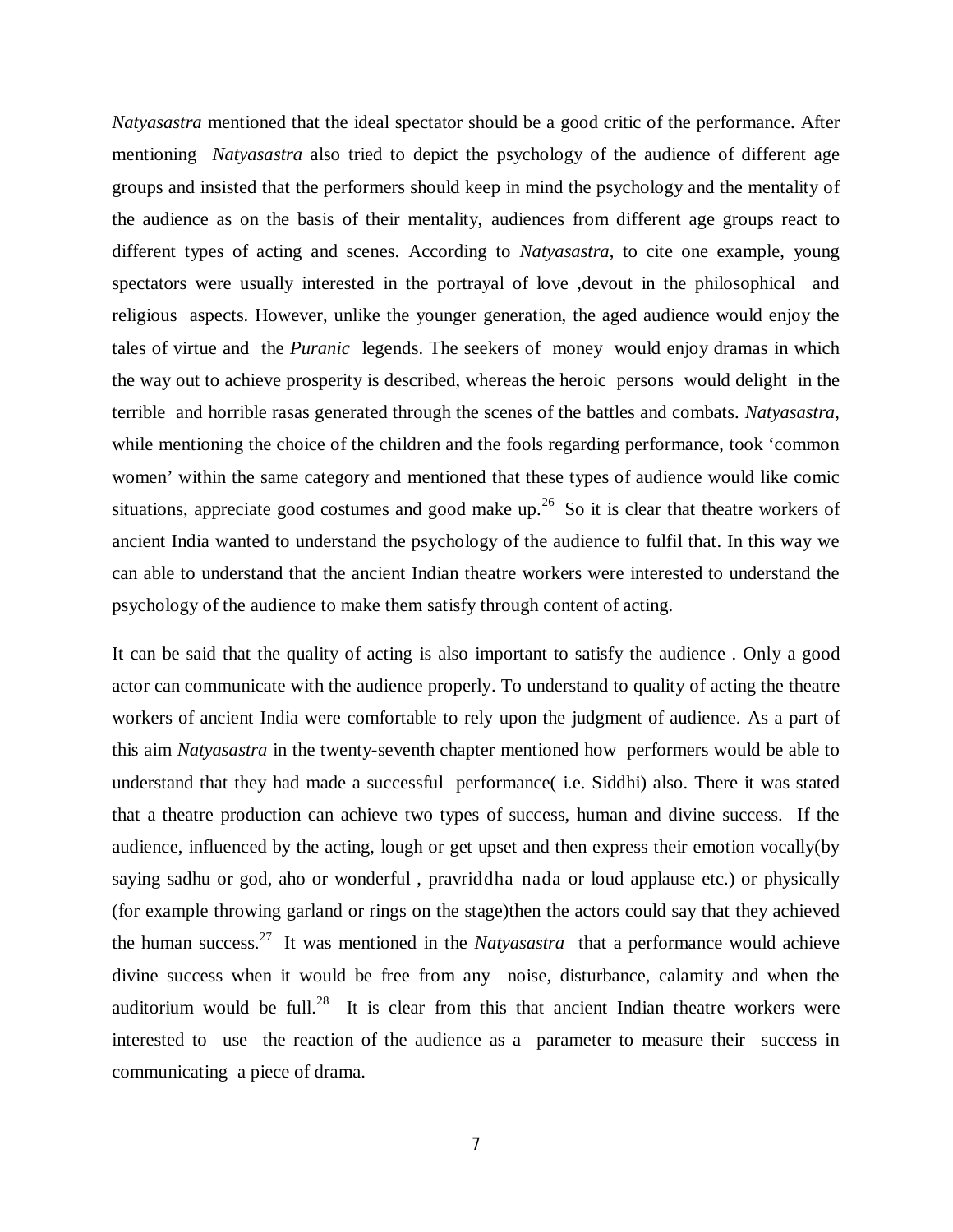*Natyasastra* mentioned that the ideal spectator should be a good critic of the performance. After mentioning *Natyasastra* also tried to depict the psychology of the audience of different age groups and insisted that the performers should keep in mind the psychology and the mentality of the audience as on the basis of their mentality, audiences from different age groups react to different types of acting and scenes. According to *Natyasastra*, to cite one example, young spectators were usually interested in the portrayal of love ,devout in the philosophical and religious aspects. However, unlike the younger generation, the aged audience would enjoy the tales of virtue and the *Puranic* legends. The seekers of money would enjoy dramas in which the way out to achieve prosperity is described, whereas the heroic persons would delight in the terrible and horrible rasas generated through the scenes of the battles and combats. *Natyasastra*, while mentioning the choice of the children and the fools regarding performance, took 'common women' within the same category and mentioned that these types of audience would like comic situations, appreciate good costumes and good make up.<sup>26</sup> So it is clear that theatre workers of ancient India wanted to understand the psychology of the audience to fulfil that. In this way we can able to understand that the ancient Indian theatre workers were interested to understand the psychology of the audience to make them satisfy through content of acting.

It can be said that the quality of acting is also important to satisfy the audience . Only a good actor can communicate with the audience properly. To understand to quality of acting the theatre workers of ancient India were comfortable to rely upon the judgment of audience. As a part of this aim *Natyasastra* in the twenty-seventh chapter mentioned how performers would be able to understand that they had made a successful performance( i.e. Siddhi) also. There it was stated that a theatre production can achieve two types of success, human and divine success. If the audience, influenced by the acting, lough or get upset and then express their emotion vocally(by saying sadhu or god, aho or wonderful , pravriddha nada or loud applause etc.) or physically (for example throwing garland or rings on the stage)then the actors could say that they achieved the human success.<sup>27</sup> It was mentioned in the *Natyasastra* that a performance would achieve divine success when it would be free from any noise, disturbance, calamity and when the auditorium would be full.<sup>28</sup> It is clear from this that ancient Indian theatre workers were interested to use the reaction of the audience as a parameter to measure their success in communicating a piece of drama.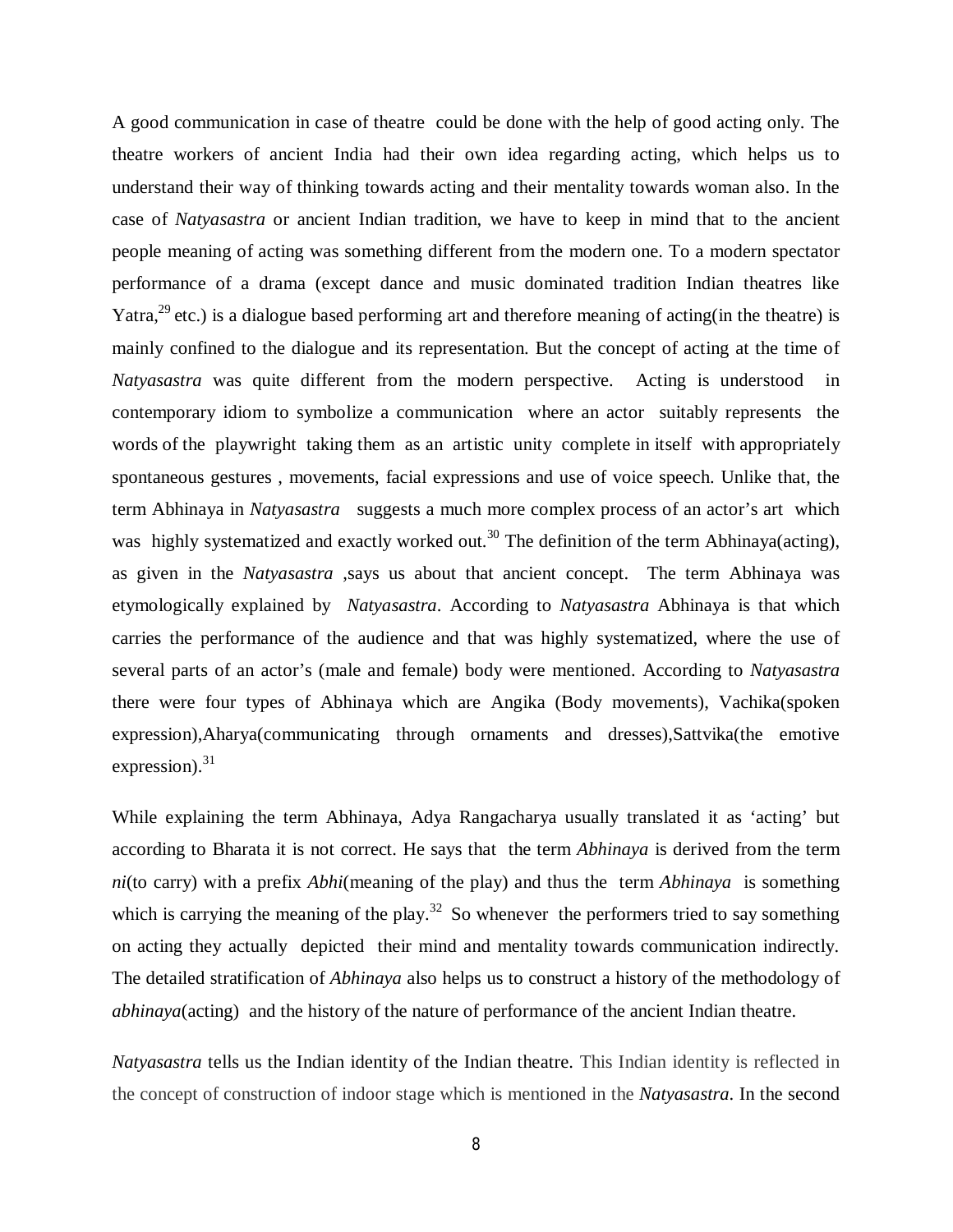A good communication in case of theatre could be done with the help of good acting only. The theatre workers of ancient India had their own idea regarding acting, which helps us to understand their way of thinking towards acting and their mentality towards woman also. In the case of *Natyasastra* or ancient Indian tradition, we have to keep in mind that to the ancient people meaning of acting was something different from the modern one. To a modern spectator performance of a drama (except dance and music dominated tradition Indian theatres like Yatra,  $^{29}$  etc.) is a dialogue based performing art and therefore meaning of acting(in the theatre) is mainly confined to the dialogue and its representation. But the concept of acting at the time of *Natyasastra* was quite different from the modern perspective. Acting is understood in contemporary idiom to symbolize a communication where an actor suitably represents the words of the playwright taking them as an artistic unity complete in itself with appropriately spontaneous gestures , movements, facial expressions and use of voice speech. Unlike that, the term Abhinaya in *Natyasastra* suggests a much more complex process of an actor's art which was highly systematized and exactly worked out.<sup>30</sup> The definition of the term Abhinaya(acting), as given in the *Natyasastra* ,says us about that ancient concept. The term Abhinaya was etymologically explained by *Natyasastra*. According to *Natyasastra* Abhinaya is that which carries the performance of the audience and that was highly systematized, where the use of several parts of an actor's (male and female) body were mentioned. According to *Natyasastra* there were four types of Abhinaya which are Angika (Body movements), Vachika(spoken expression),Aharya(communicating through ornaments and dresses),Sattvika(the emotive expression). $31$ 

While explaining the term Abhinaya, Adya Rangacharya usually translated it as 'acting' but according to Bharata it is not correct. He says that the term *Abhinaya* is derived from the term *ni*(to carry) with a prefix *Abhi*(meaning of the play) and thus the term *Abhinaya* is something which is carrying the meaning of the play.<sup>32</sup> So whenever the performers tried to say something on acting they actually depicted their mind and mentality towards communication indirectly. The detailed stratification of *Abhinaya* also helps us to construct a history of the methodology of *abhinaya*(acting) and the history of the nature of performance of the ancient Indian theatre.

*Natyasastra* tells us the Indian identity of the Indian theatre. This Indian identity is reflected in the concept of construction of indoor stage which is mentioned in the *Natyasastra*. In the second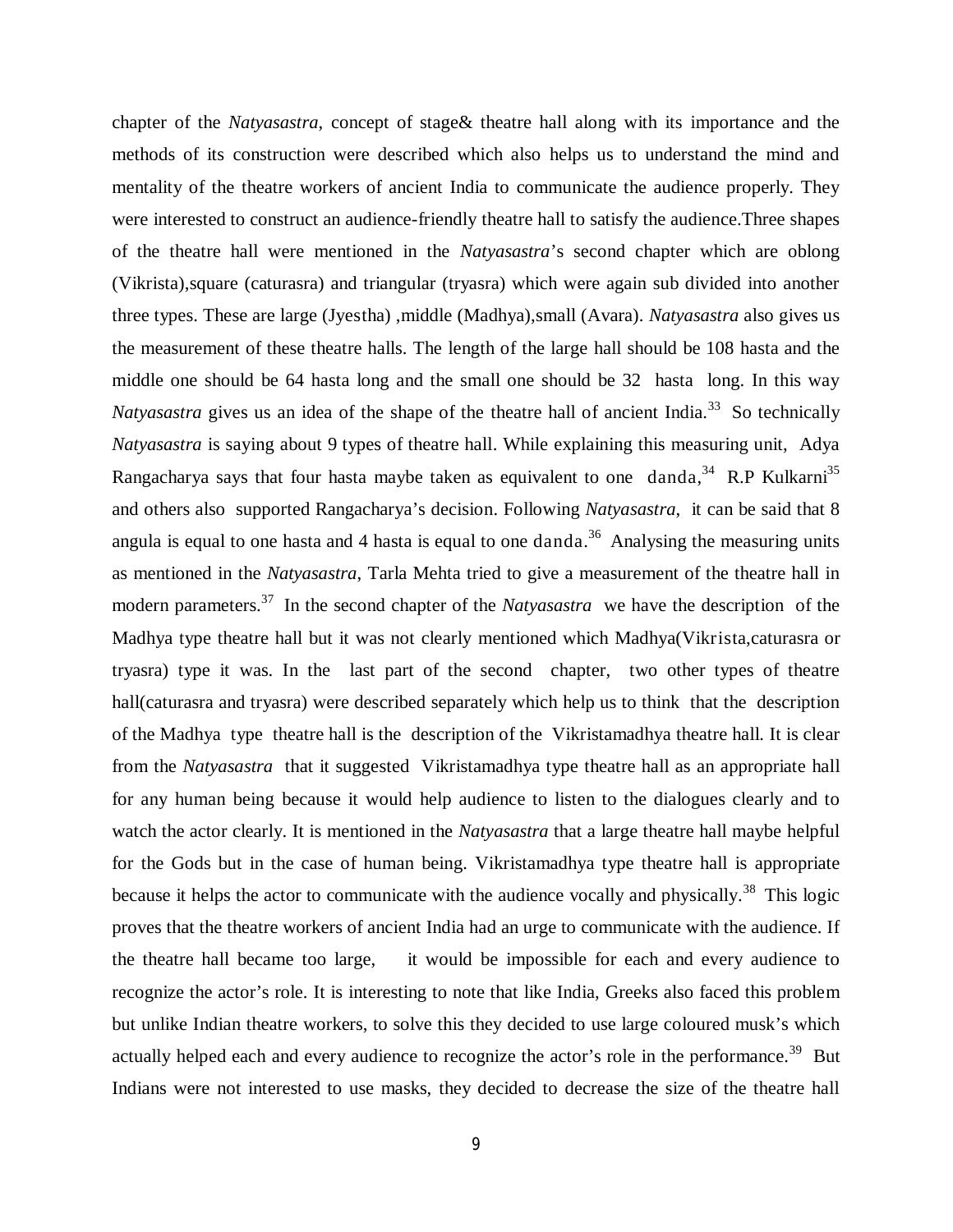chapter of the *Natyasastra*, concept of stage& theatre hall along with its importance and the methods of its construction were described which also helps us to understand the mind and mentality of the theatre workers of ancient India to communicate the audience properly. They were interested to construct an audience-friendly theatre hall to satisfy the audience.Three shapes of the theatre hall were mentioned in the *Natyasastra*'s second chapter which are oblong (Vikrista),square (caturasra) and triangular (tryasra) which were again sub divided into another three types. These are large (Jyestha) ,middle (Madhya),small (Avara). *Natyasastra* also gives us the measurement of these theatre halls. The length of the large hall should be 108 hasta and the middle one should be 64 hasta long and the small one should be 32 hasta long. In this way *Natyasastra* gives us an idea of the shape of the theatre hall of ancient India.<sup>33</sup> So technically *Natyasastra* is saying about 9 types of theatre hall. While explaining this measuring unit, Adya Rangacharya says that four hasta maybe taken as equivalent to one danda,  $34$  R.P Kulkarni<sup>35</sup> and others also supported Rangacharya's decision. Following *Natyasastra*, it can be said that 8 angula is equal to one hasta and 4 hasta is equal to one danda.<sup>36</sup> Analysing the measuring units as mentioned in the *Natyasastra*, Tarla Mehta tried to give a measurement of the theatre hall in modern parameters.<sup>37</sup> In the second chapter of the *Natyasastra* we have the description of the Madhya type theatre hall but it was not clearly mentioned which Madhya(Vikrista,caturasra or tryasra) type it was. In the last part of the second chapter, two other types of theatre hall(caturasra and tryasra) were described separately which help us to think that the description of the Madhya type theatre hall is the description of the Vikristamadhya theatre hall. It is clear from the *Natyasastra* that it suggested Vikristamadhya type theatre hall as an appropriate hall for any human being because it would help audience to listen to the dialogues clearly and to watch the actor clearly. It is mentioned in the *Natyasastra* that a large theatre hall maybe helpful for the Gods but in the case of human being. Vikristamadhya type theatre hall is appropriate because it helps the actor to communicate with the audience vocally and physically.<sup>38</sup> This logic proves that the theatre workers of ancient India had an urge to communicate with the audience. If the theatre hall became too large, it would be impossible for each and every audience to recognize the actor's role. It is interesting to note that like India, Greeks also faced this problem but unlike Indian theatre workers, to solve this they decided to use large coloured musk's which actually helped each and every audience to recognize the actor's role in the performance.<sup>39</sup> But Indians were not interested to use masks, they decided to decrease the size of the theatre hall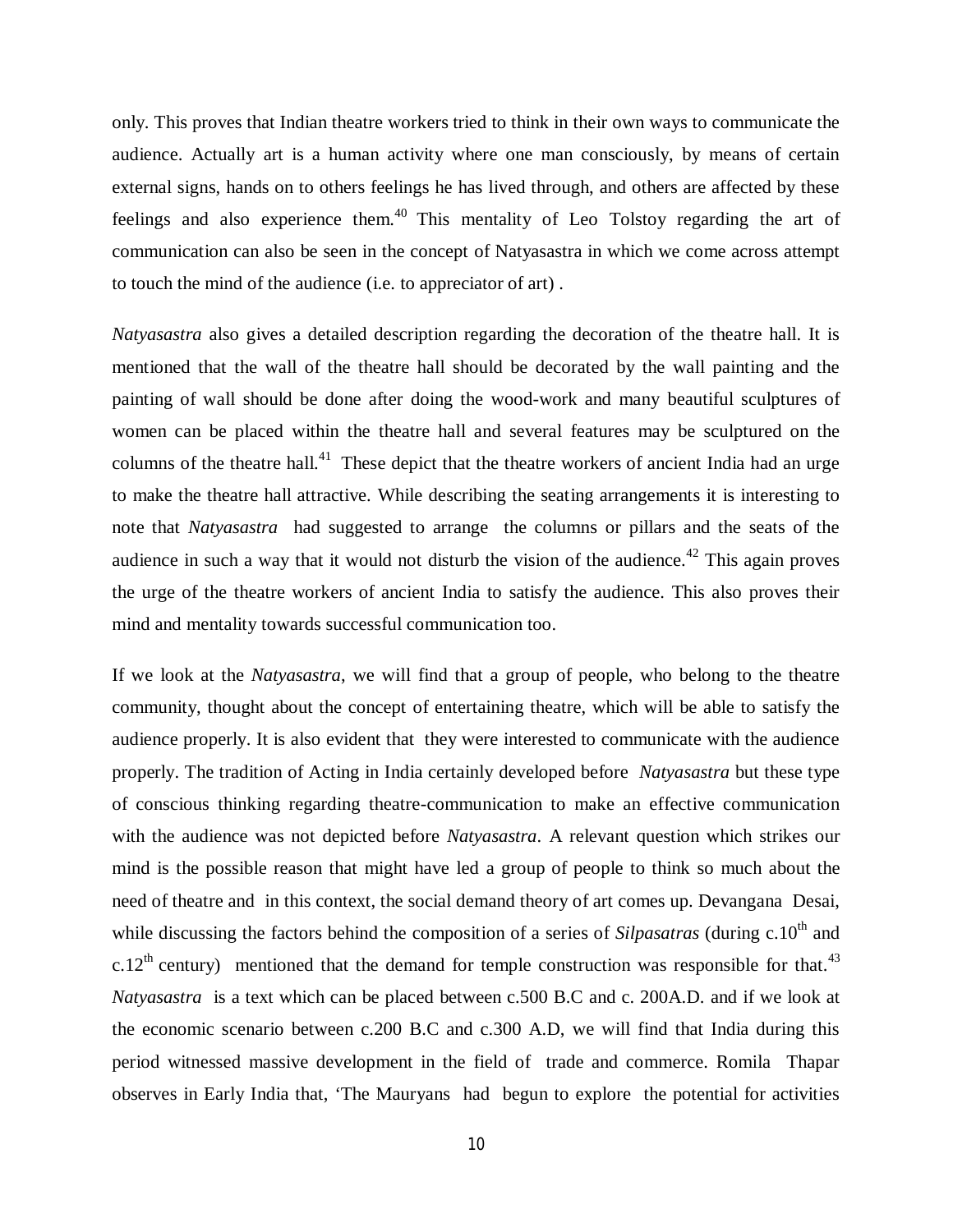only. This proves that Indian theatre workers tried to think in their own ways to communicate the audience. Actually art is a human activity where one man consciously, by means of certain external signs, hands on to others feelings he has lived through, and others are affected by these feelings and also experience them.<sup>40</sup> This mentality of Leo Tolstoy regarding the art of communication can also be seen in the concept of Natyasastra in which we come across attempt to touch the mind of the audience (i.e. to appreciator of art) .

*Natyasastra* also gives a detailed description regarding the decoration of the theatre hall. It is mentioned that the wall of the theatre hall should be decorated by the wall painting and the painting of wall should be done after doing the wood-work and many beautiful sculptures of women can be placed within the theatre hall and several features may be sculptured on the columns of the theatre hall.<sup>41</sup> These depict that the theatre workers of ancient India had an urge to make the theatre hall attractive. While describing the seating arrangements it is interesting to note that *Natyasastra* had suggested to arrange the columns or pillars and the seats of the audience in such a way that it would not disturb the vision of the audience.<sup>42</sup> This again proves the urge of the theatre workers of ancient India to satisfy the audience. This also proves their mind and mentality towards successful communication too.

If we look at the *Natyasastra*, we will find that a group of people, who belong to the theatre community, thought about the concept of entertaining theatre, which will be able to satisfy the audience properly. It is also evident that they were interested to communicate with the audience properly. The tradition of Acting in India certainly developed before *Natyasastra* but these type of conscious thinking regarding theatre-communication to make an effective communication with the audience was not depicted before *Natyasastra*. A relevant question which strikes our mind is the possible reason that might have led a group of people to think so much about the need of theatre and in this context, the social demand theory of art comes up. Devangana Desai, while discussing the factors behind the composition of a series of *Silpasatras* (during c.10<sup>th</sup> and c.12<sup>th</sup> century) mentioned that the demand for temple construction was responsible for that.<sup>43</sup> *Natyasastra* is a text which can be placed between c.500 B.C and c. 200A.D. and if we look at the economic scenario between c.200 B.C and c.300 A.D, we will find that India during this period witnessed massive development in the field of trade and commerce. Romila Thapar observes in Early India that, 'The Mauryans had begun to explore the potential for activities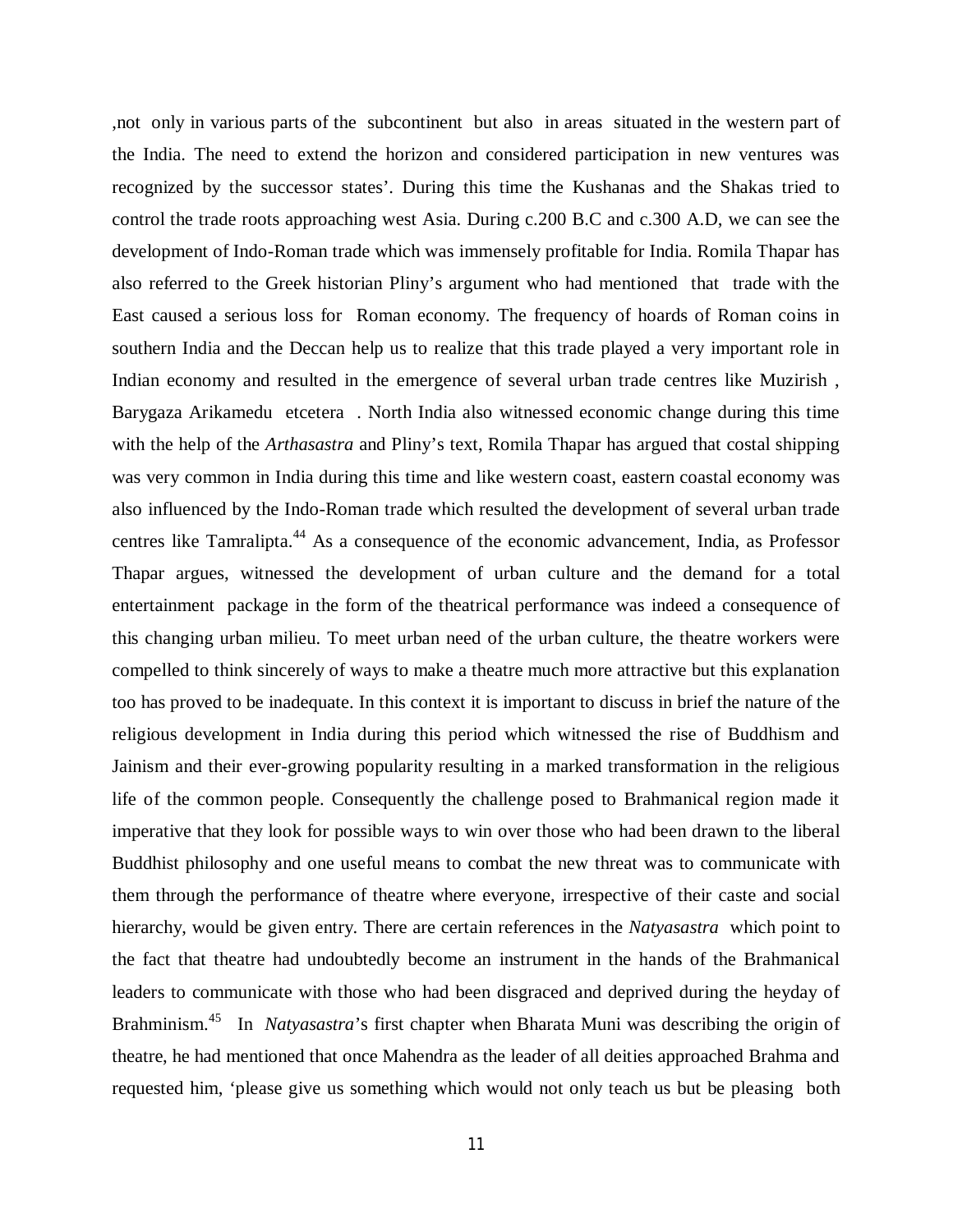,not only in various parts of the subcontinent but also in areas situated in the western part of the India. The need to extend the horizon and considered participation in new ventures was recognized by the successor states'. During this time the Kushanas and the Shakas tried to control the trade roots approaching west Asia. During c.200 B.C and c.300 A.D, we can see the development of Indo-Roman trade which was immensely profitable for India. Romila Thapar has also referred to the Greek historian Pliny's argument who had mentioned that trade with the East caused a serious loss for Roman economy. The frequency of hoards of Roman coins in southern India and the Deccan help us to realize that this trade played a very important role in Indian economy and resulted in the emergence of several urban trade centres like Muzirish , Barygaza Arikamedu etcetera . North India also witnessed economic change during this time with the help of the *Arthasastra* and Pliny's text, Romila Thapar has argued that costal shipping was very common in India during this time and like western coast, eastern coastal economy was also influenced by the Indo-Roman trade which resulted the development of several urban trade centres like Tamralipta.<sup>44</sup> As a consequence of the economic advancement, India, as Professor Thapar argues, witnessed the development of urban culture and the demand for a total entertainment package in the form of the theatrical performance was indeed a consequence of this changing urban milieu. To meet urban need of the urban culture, the theatre workers were compelled to think sincerely of ways to make a theatre much more attractive but this explanation too has proved to be inadequate. In this context it is important to discuss in brief the nature of the religious development in India during this period which witnessed the rise of Buddhism and Jainism and their ever-growing popularity resulting in a marked transformation in the religious life of the common people. Consequently the challenge posed to Brahmanical region made it imperative that they look for possible ways to win over those who had been drawn to the liberal Buddhist philosophy and one useful means to combat the new threat was to communicate with them through the performance of theatre where everyone, irrespective of their caste and social hierarchy, would be given entry. There are certain references in the *Natyasastra* which point to the fact that theatre had undoubtedly become an instrument in the hands of the Brahmanical leaders to communicate with those who had been disgraced and deprived during the heyday of Brahminism.<sup>45</sup> In *Natyasastra*'s first chapter when Bharata Muni was describing the origin of theatre, he had mentioned that once Mahendra as the leader of all deities approached Brahma and requested him, 'please give us something which would not only teach us but be pleasing both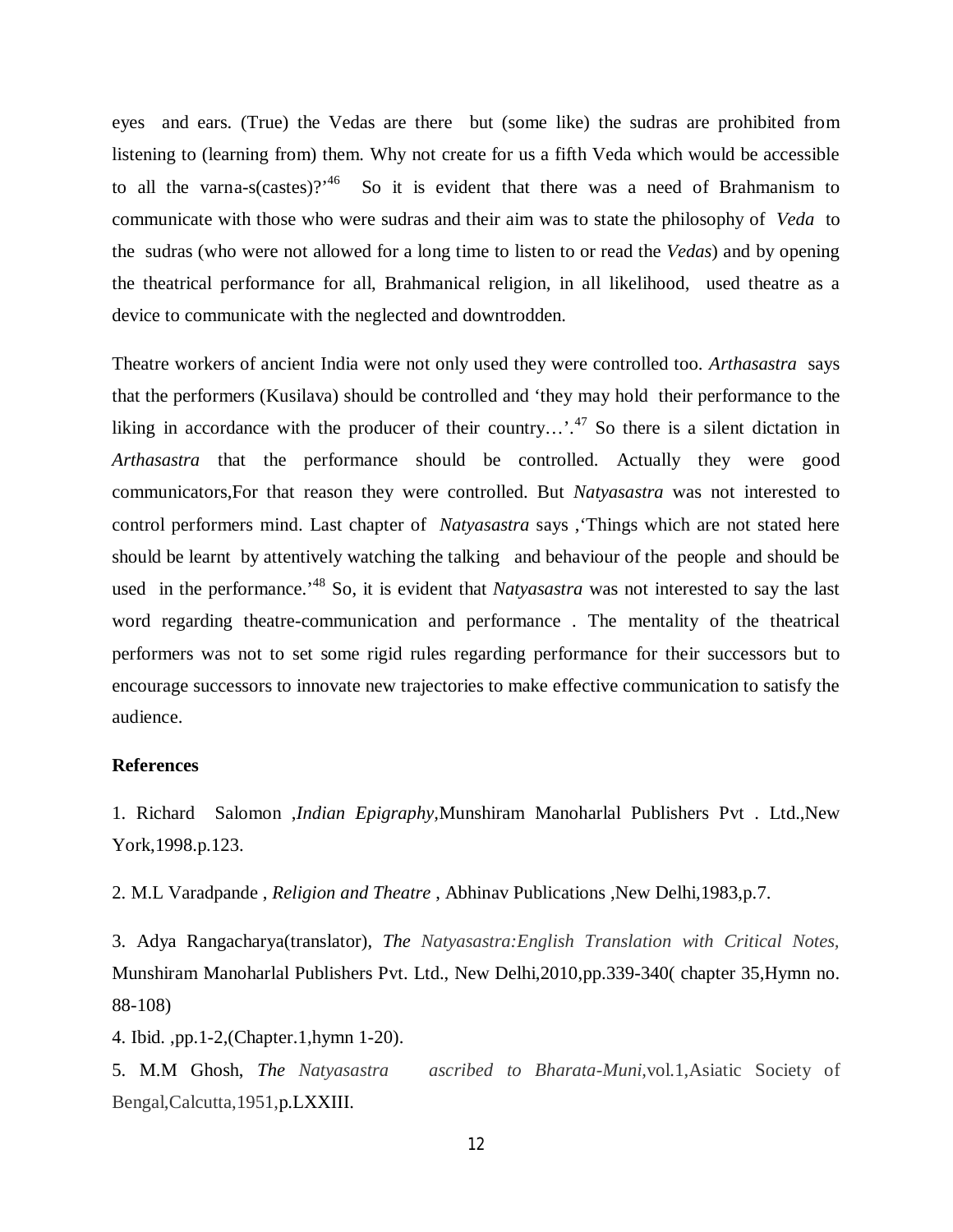eyes and ears. (True) the Vedas are there but (some like) the sudras are prohibited from listening to (learning from) them. Why not create for us a fifth Veda which would be accessible to all the varna-s(castes)?<sup>46</sup> So it is evident that there was a need of Brahmanism to communicate with those who were sudras and their aim was to state the philosophy of *Veda* to the sudras (who were not allowed for a long time to listen to or read the *Vedas*) and by opening the theatrical performance for all, Brahmanical religion, in all likelihood, used theatre as a device to communicate with the neglected and downtrodden.

Theatre workers of ancient India were not only used they were controlled too. *Arthasastra* says that the performers (Kusilava) should be controlled and 'they may hold their performance to the liking in accordance with the producer of their country...'.<sup>47</sup> So there is a silent dictation in *Arthasastra* that the performance should be controlled. Actually they were good communicators,For that reason they were controlled. But *Natyasastra* was not interested to control performers mind. Last chapter of *Natyasastra* says ,'Things which are not stated here should be learnt by attentively watching the talking and behaviour of the people and should be used in the performance.<sup>48</sup> So, it is evident that *Natyasastra* was not interested to say the last word regarding theatre-communication and performance . The mentality of the theatrical performers was not to set some rigid rules regarding performance for their successors but to encourage successors to innovate new trajectories to make effective communication to satisfy the audience.

## **References**

1. Richard Salomon ,*Indian Epigraphy,*Munshiram Manoharlal Publishers Pvt . Ltd.,New York,1998.p.123.

2. M.L Varadpande , *Religion and Theatre* , Abhinav Publications ,New Delhi,1983,p.7.

3. Adya Rangacharya(translator), *The Natyasastra:English Translation with Critical Notes,* Munshiram Manoharlal Publishers Pvt. Ltd., New Delhi,2010,pp.339-340( chapter 35,Hymn no. 88-108)

4. Ibid. ,pp.1-2,(Chapter.1,hymn 1-20).

5. M.M Ghosh, *The Natyasastra ascribed to Bharata-Muni,*vol.1,Asiatic Society of Bengal,Calcutta,1951,p.LXXIII.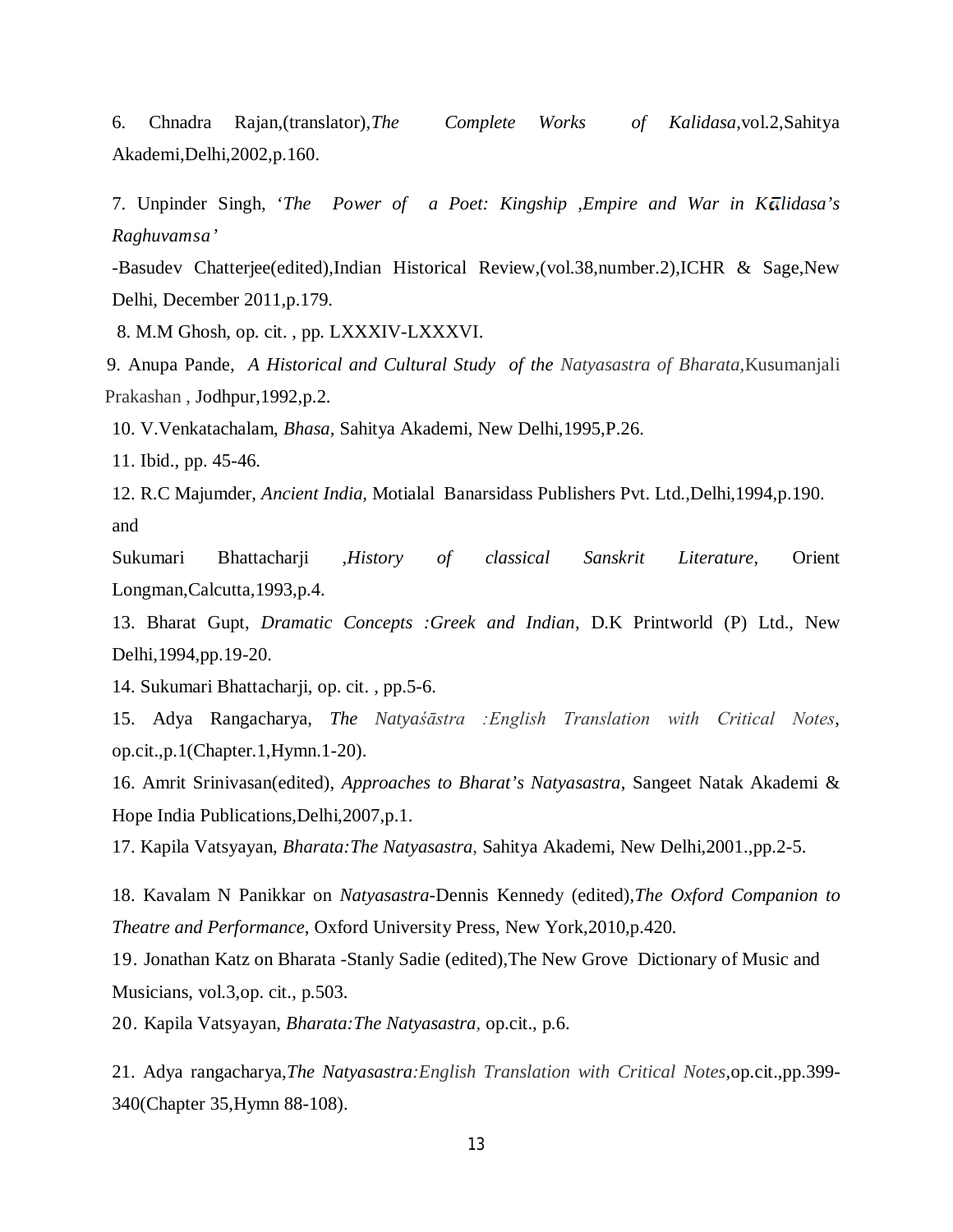6. Chnadra Rajan,(translator),*The Complete Works of Kalidasa*,vol.2,Sahitya Akademi,Delhi,2002,p.160.

7. Unpinder Singh, '*The Power of a Poet: Kingship ,Empire and War in K lidasa's Raghuvamsa'*

-Basudev Chatterjee(edited),Indian Historical Review,(vol.38,number.2),ICHR & Sage,New Delhi, December 2011,p.179.

8. M.M Ghosh, op. cit. , pp. LXXXIV-LXXXVI.

 9. Anupa Pande*, A Historical and Cultural Study of the Natyasastra of Bharata,*Kusumanjali Prakashan , Jodhpur,1992,p.2.

10. V.Venkatachalam, *Bhasa,* Sahitya Akademi, New Delhi,1995,P.26.

11. Ibid., pp. 45-46.

12. R.C Majumder, *Ancient India,* Motialal Banarsidass Publishers Pvt. Ltd.,Delhi,1994,p.190. and

Sukumari Bhattacharji ,*History of classical Sanskrit Literature*, Orient Longman,Calcutta,1993,p.4.

13. Bharat Gupt, *Dramatic Concepts :Greek and Indian*, D.K Printworld (P) Ltd., New Delhi,1994,pp.19-20.

14. Sukumari Bhattacharji, op. cit. , pp.5-6.

15. Adya Rangacharya, *The Natyaśāstra :English Translation with Critical Notes*, op.cit.,p.1(Chapter.1,Hymn.1-20).

16. Amrit Srinivasan(edited), *Approaches to Bharat's Natyasastra*, Sangeet Natak Akademi & Hope India Publications,Delhi,2007,p.1.

17. Kapila Vatsyayan, *Bharata:The Natyasastra*, Sahitya Akademi, New Delhi,2001.,pp.2-5.

18. Kavalam N Panikkar on *Natyasastra*-Dennis Kennedy (edited),*The Oxford Companion to Theatre and Performance*, Oxford University Press, New York,2010,p.420.

19. Jonathan Katz on Bharata -Stanly Sadie (edited),The New Grove Dictionary of Music and Musicians, vol.3,op. cit., p.503.

20. Kapila Vatsyayan, *Bharata:The Natyasastra*, op.cit., p.6.

21. Adya rangacharya,*The Natyasastra:English Translation with Critical Notes,*op.cit.,pp.399- 340(Chapter 35,Hymn 88-108).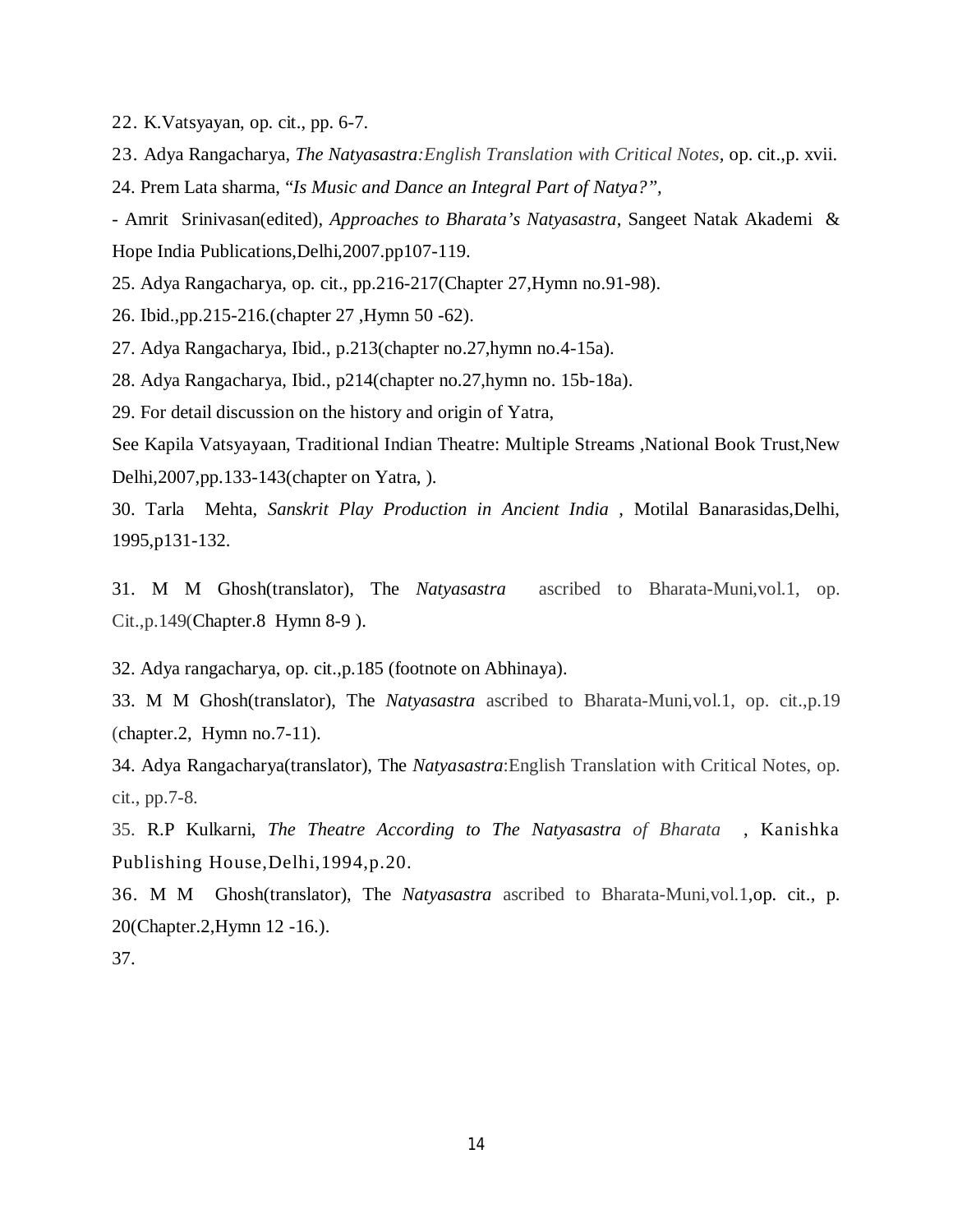22. K.Vatsyayan, op. cit., pp. 6-7.

23. Adya Rangacharya, *The Natyasastra:English Translation with Critical Notes,* op. cit.,p. xvii.

24. Prem Lata sharma, "*Is Music and Dance an Integral Part of Natya?",*

- Amrit Srinivasan(edited), *Approaches to Bharata's Natyasastra*, Sangeet Natak Akademi & Hope India Publications,Delhi,2007.pp107-119.

25. Adya Rangacharya, op. cit., pp.216-217(Chapter 27,Hymn no.91-98).

26. Ibid.,pp.215-216.(chapter 27 ,Hymn 50 -62).

27. Adya Rangacharya, Ibid., p.213(chapter no.27,hymn no.4-15a).

28. Adya Rangacharya, Ibid., p214(chapter no.27,hymn no. 15b-18a).

29. For detail discussion on the history and origin of Yatra,

See Kapila Vatsyayaan, Traditional Indian Theatre: Multiple Streams ,National Book Trust,New Delhi,2007,pp.133-143(chapter on Yatra, ).

30. Tarla Mehta, *Sanskrit Play Production in Ancient India ,* Motilal Banarasidas,Delhi, 1995,p131-132.

31. M M Ghosh(translator), The *Natyasastra* ascribed to Bharata-Muni,vol.1, op. Cit.,p.149(Chapter.8 Hymn 8-9 ).

32. Adya rangacharya, op. cit.,p.185 (footnote on Abhinaya).

33. M M Ghosh(translator), The *Natyasastra* ascribed to Bharata-Muni,vol.1, op. cit.,p.19 (chapter.2, Hymn no.7-11).

34. Adya Rangacharya(translator), The *Natyasastra*:English Translation with Critical Notes, op. cit., pp.7-8.

35. R.P Kulkarni, *The Theatre According to The Natyasastra of Bharata* , Kanishka Publishing House,Delhi,1994,p.20.

36. M M Ghosh(translator), The *Natyasastra* ascribed to Bharata-Muni,vol.1,op. cit., p. 20(Chapter.2,Hymn 12 -16.).

37.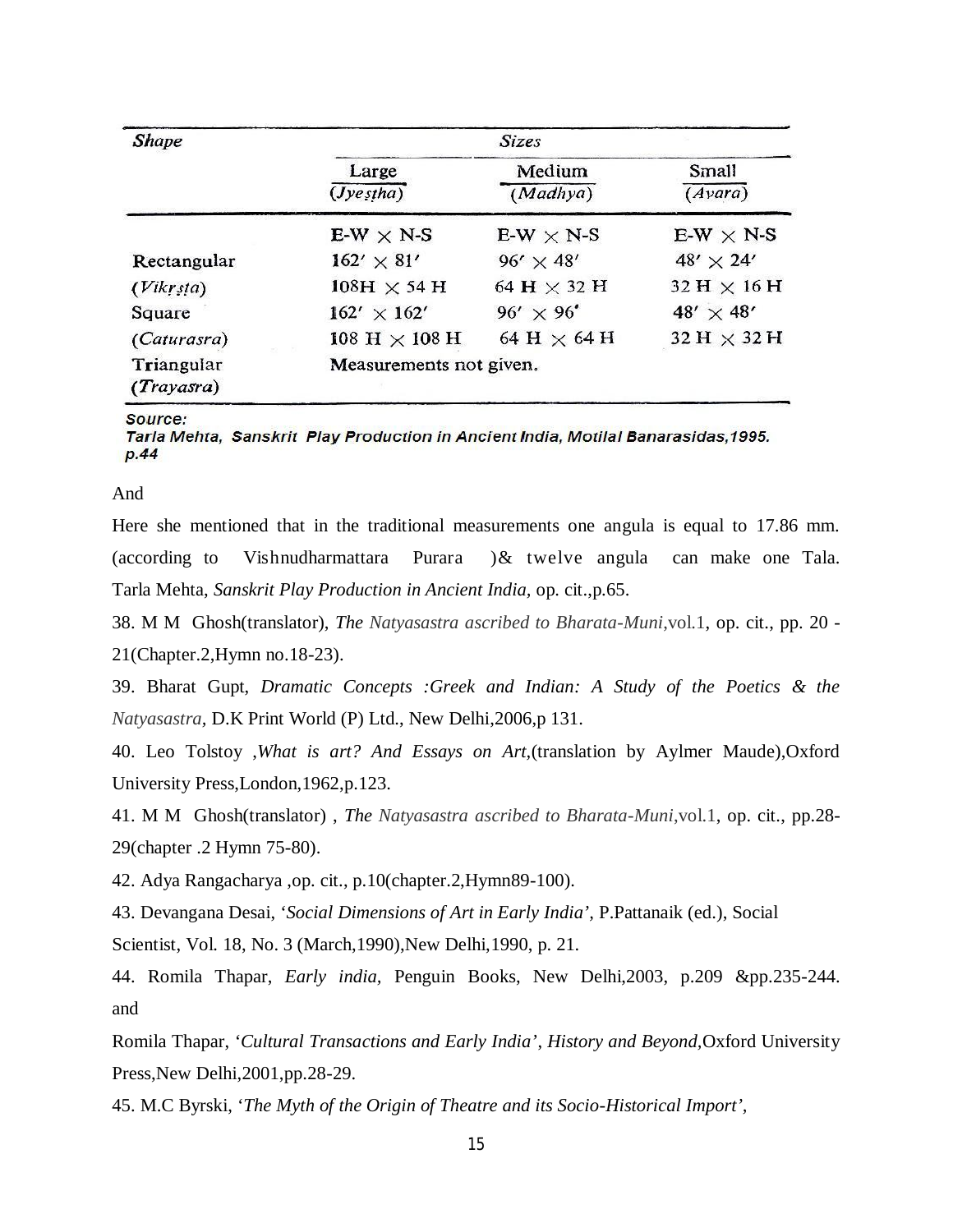| <b>Shape</b>             | <b>Sizes</b>                        |                    |                    |
|--------------------------|-------------------------------------|--------------------|--------------------|
|                          | Large<br>(Jyestha)                  | Medium<br>(Madhya) | Small<br>(Avara)   |
|                          | $E-W \times N-S$                    | $E-W \times N-S$   | $E-W \times N-S$   |
| Rectangular              | $162' \times 81'$                   | $96' \times 48'$   | $48' \times 24'$   |
| (Vikrsta)                | $108H \times 54H$                   | 64 H $\times$ 32 H | 32 H $\times$ 16 H |
| Square                   | $162' \times 162'$                  | $96' \times 96'$   | 48' $\times$ 48'   |
| (Caturasra)              | $108\ \text{H}\times 108\ \text{H}$ | 64 H $\times$ 64 H | $32 H \times 32 H$ |
| Triangular<br>(Trayasra) | Measurements not given.             |                    |                    |

#### Source:

Tarla Mehta, Sanskrit Play Production in Ancient India, Motilal Banarasidas, 1995.  $p.44$ 

## And

Here she mentioned that in the traditional measurements one angula is equal to 17.86 mm. (according to Vishnudharmattara Purara )& twelve angula can make one Tala. Tarla Mehta, *Sanskrit Play Production in Ancient India,* op. cit.,p.65.

38. M M Ghosh(translator), *The Natyasastra ascribed to Bharata-Muni*,vol.1, op. cit., pp. 20 - 21(Chapter.2,Hymn no.18-23).

39. Bharat Gupt, *Dramatic Concepts :Greek and Indian: A Study of the Poetics & the Natyasastra,* D.K Print World (P) Ltd., New Delhi,2006,p 131.

40. Leo Tolstoy ,*What is art? And Essays on Art,*(translation by Aylmer Maude),Oxford University Press,London,1962,p.123.

41. M M Ghosh(translator) , *The Natyasastra ascribed to Bharata-Muni*,vol.1, op. cit., pp.28- 29(chapter .2 Hymn 75-80).

42. Adya Rangacharya ,op. cit., p.10(chapter.2,Hymn89-100).

43. Devangana Desai, '*Social Dimensions of Art in Early India',* P.Pattanaik (ed.), Social

Scientist, Vol. 18, No. 3 (March, 1990), New Delhi, 1990, p. 21.

44. Romila Thapar, *Early india,* Penguin Books, New Delhi,2003, p.209 &pp.235-244. and

Romila Thapar, '*Cultural Transactions and Early India'*, *History and Beyond,*Oxford University Press,New Delhi,2001,pp.28-29.

45. M.C Byrski, '*The Myth of the Origin of Theatre and its Socio-Historical Import',*